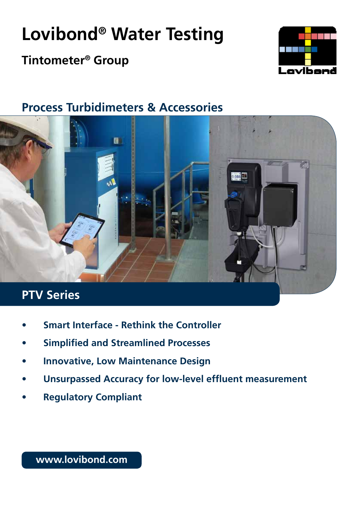# **Lovibond® Water Testing**

## **Tintometer® Group**



### **Process Turbidimeters & Accessories**



- **• Smart Interface Rethink the Controller**
- **• Simplified and Streamlined Processes**
- **• Innovative, Low Maintenance Design**
- **• Unsurpassed Accuracy for low-level effluent measurement**
- **• Regulatory Compliant**

**www.lovibond.com**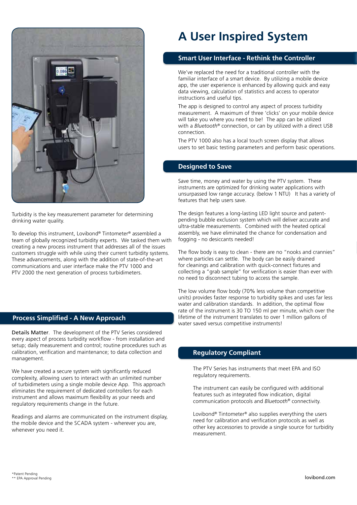

Turbidity is the key measurement parameter for determining drinking water quality.

To develop this instrument, Lovibond® Tintometer® assembled a team of globally recognized turbidity experts. We tasked them with creating a new process instrument that addresses all of the issues customers struggle with while using their current turbidity systems. These advancements, along with the addition of state-of-the-art communications and user interface make the PTV 1000 and PTV 2000 the next generation of process turbidimeters.

#### **Process Simplified - A New Approach**

Details Matter. The development of the PTV Series considered every aspect of process turbidity workflow - from installation and setup; daily measurement and control; routine procedures such as calibration, verification and maintenance; to data collection and management.

We have created a secure system with significantly reduced complexity, allowing users to interact with an unlimited number of turbidimeters using a single mobile device App. This approach eliminates the requirement of dedicated controllers for each instrument and allows maximum flexibility as your needs and regulatory requirements change in the future.

Readings and alarms are communicated on the instrument display, the mobile device and the SCADA system - wherever you are, whenever you need it.

### **A User Inspired System**

#### **Smart User Interface - Rethink the Controller**

We've replaced the need for a traditional controller with the familiar interface of a smart device. By utilizing a mobile device app, the user experience is enhanced by allowing quick and easy data viewing, calculation of statistics and access to operator instructions and useful tips.

The app is designed to control any aspect of process turbidity measurement. A maximum of three 'clicks' on your mobile device will take you where you need to be! The app can be utilized with a *Bluetooth®* connection, or can by utilized with a direct USB connection.

The PTV 1000 also has a local touch screen display that allows users to set basic testing parameters and perform basic operations.

#### **Designed to Save**

Save time, money and water by using the PTV system. These instruments are optimized for drinking water applications with unsurpassed low range accuracy. (below 1 NTU) It has a variety of features that help users save.

The design features a long-lasting LED light source and patentpending bubble exclusion system which will deliver accurate and ultra-stable measurements. Combined with the heated optical assembly, we have eliminated the chance for condensation and fogging - no desiccants needed!

The flow body is easy to clean - there are no "nooks and crannies" where particles can settle. The body can be easily drained for cleanings and calibration with quick-connect fixtures and collecting a "grab sample" for verification is easier than ever with no need to disconnect tubing to access the sample.

The low volume flow body (70% less volume than competitive units) provides faster response to turbidity spikes and uses far less water and calibration standards. In addition, the optimal flow rate of the instrument is 30 TO 150 ml per minute, which over the lifetime of the instrument translates to over 1 million gallons of water saved versus competitive instruments!

#### **Regulatory Compliant**

The PTV Series has instruments that meet EPA and ISO regulatory requirements.

The instrument can easily be configured with additional features such as integrated flow indication, digital communication protocols and *Bluetooth®* connectivity.

Lovibond® Tintometer® also supplies everything the users need for calibration and verification protocols as well as other key accessories to provide a single source for turbidity measurement.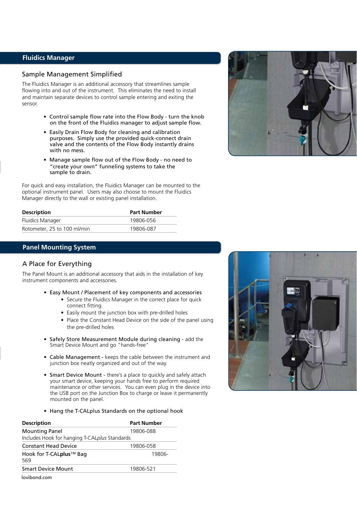#### **Fluidics Manager**

#### Sample Management Simplified

The Fluidics Manager is an additional accessory that streamlines sample flowing into and out of the instrument. This eliminates the need to install and maintain separate devices to control sample entering and exiting the sensor.

- Control sample flow rate into the Flow Body turn the knob on the front of the Fluidics manager to adjust sample flow.
- Easily Drain Flow Body for cleaning and calibration purposes. Simply use the provided quick-connect drain valve and the contents of the Flow Body instantly drains with no mess.
- Manage sample flow out of the Flow Body no need to "create your own" funneling systems to take the sample to drain.

For quick and easy installation, the Fluidics Manager can be mounted to the optional instrument panel. Users may also choose to mount the Fluidics Manager directly to the wall or existing panel installation.

| <b>Description</b>          | <b>Part Number</b> |  |
|-----------------------------|--------------------|--|
| Fluidics Manager            | 19806-056          |  |
| Rotometer, 25 to 100 ml/min | 19806-087          |  |

#### **Panel Mounting System**

#### A Place for Everything

The Panel Mount is an additional accessory that aids in the installation of key instrument components and accessories.

- Easy Mount / Placement of key components and accessories
	- Secure the Fluidics Manager in the correct place for quick connect fitting.
	- Easily mount the junction box with pre-drilled holes
	- Place the Constant Head Device on the side of the panel using the pre-drilled holes
- Safely Store Measurement Module during cleaning add the Smart Device Mount and go "hands-free"
- Cable Management keeps the cable between the instrument and junction box neatly organized and out of the way.
- Smart Device Mount there's a place to quickly and safely attach your smart device, keeping your hands free to perform required maintenance or other services. You can even plug in the device into the USB port on the Junction Box to charge or leave it permanently mounted on the panel.
- Hang the T-CALplus Standards on the optional hook

| <b>Description</b>                                                     | <b>Part Number</b> |
|------------------------------------------------------------------------|--------------------|
| <b>Mounting Panel</b><br>Includes Hook for hanging T-CALplus Standards | 19806-088          |
| <b>Constant Head Device</b>                                            | 19806-058          |
| Hook for T-CALplus™ Bag<br>569                                         |                    |
| <b>Smart Device Mount</b>                                              | 19806-521          |
| lovibond com                                                           |                    |

lovibond.com



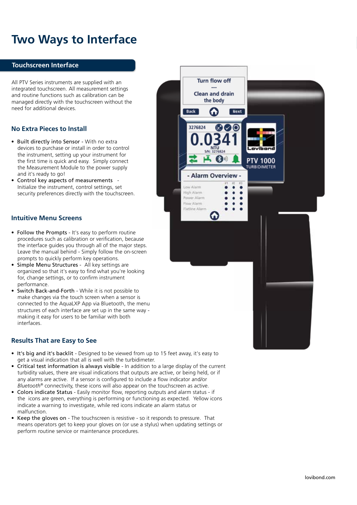### **Two Ways to Interface**

#### **Touchscreen Interface**

All PTV Series instruments are supplied with an integrated touchscreen. All measurement settings and routine functions such as calibration can be managed directly with the touchscreen without the need for additional devices.

#### **No Extra Pieces to Install**

- Built directly into Sensor With no extra devices to purchase or install in order to control the instrument, setting up your instrument for the first time is quick and easy. Simply connect the Measurement Module to the power supply and it's ready to go!
- Control key aspects of measurements Initialize the instrument, control settings, set security preferences directly with the touchscreen.

#### **Intuitive Menu Screens**

- Follow the Prompts It's easy to perform routine procedures such as calibration or verification, because the interface guides you through all of the major steps. Leave the manual behind - Simply follow the on-screen prompts to quickly perform key operations.
- Simple Menu Structures All key settings are organized so that it's easy to find what you're looking for, change settings, or to confirm instrument performance.
- Switch Back-and-Forth While it is not possible to make changes via the touch screen when a sensor is connected to the AquaLXP App via Bluetooth, the menu structures of each interface are set up in the same way making it easy for users to be familiar with both interfaces.

#### **Results That are Easy to See**

- It's big and it's backlit Designed to be viewed from up to 15 feet away, it's easy to get a visual indication that all is well with the turbidimeter.
- Critical test information is always visible In addition to a large display of the current turbidity values, there are visual indications that outputs are active, or being held, or if any alarms are active. If a sensor is configured to include a flow indicator and/or *Bluetooth®* connectivity, these icons will also appear on the touchscreen as active.
- Colors indicate Status Easily monitor flow, reporting outputs and alarm status if the icons are green, everything is performing or functioning as expected. Yellow icons indicate a warning to investigate, while red icons indicate an alarm status or malfunction.
- Keep the gloves on The touchscreen is resistive so it responds to pressure. That means operators get to keep your gloves on (or use a stylus) when updating settings or perform routine service or maintenance procedures.

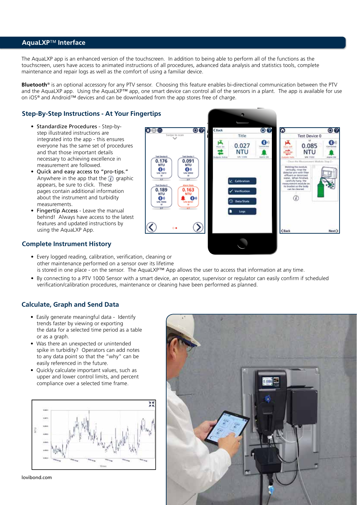#### **AquaLXP**™ **Interface**

The AquaLXP app is an enhanced version of the touchscreen. In addition to being able to perform all of the functions as the touchscreen, users have access to animated instructions of all procedures, advanced data analysis and statistics tools, complete maintenance and repair logs as well as the comfort of using a familiar device.

**Bluetooth***®* is an optional accessory for any PTV sensor. Choosing this feature enables bi-directional communication between the PTV and the AquaLXP app. Using the AquaLXP™ app, one smart device can control all of the sensors in a plant. The app is available for use on iOS*®* and Android*™* devices and can be downloaded from the app stores free of charge.

#### **Step-By-Step Instructions - At Your Fingertips**

- Standardize Procedures Step-by step illustrated instructions are integrated into the app - this ensures everyone has the same set of procedures and that those important details necessary to achieving excellence in measurement are followed.
- Quick and easy access to "pro-tips." Anywhere in the app that the  $\hat{a}$  graphic appears, be sure to click. These pages contain additional information about the instrument and turbidity measurements.
	- Fingertip Access Leave the manual behind! Always have access to the latest features and updated instructions by using the AquaLXP App.



#### **Complete Instrument History**

- Every logged reading, calibration, verification, cleaning or other maintenance performed on a sensor over its lifetime is stored in one place - on the sensor. The AquaLXP™ App allows the user to access that information at any time.
- By connecting to a PTV 1000 Sensor with a smart device, an operator, supervisor or regulator can easily confirm if scheduled verification/calibration procedures, maintenance or cleaning have been performed as planned.

#### **Calculate, Graph and Send Data**

- Easily generate meaningful data Identify trends faster by viewing or exporting the data for a selected time period as a table or as a graph.
- Was there an unexpected or unintended spike in turbidity? Operators can add notes to any data point so that the "why" can be easily referenced in the future.
- Quickly calculate important values, such as upper and lower control limits, and percent compliance over a selected time frame.



lovibond.com

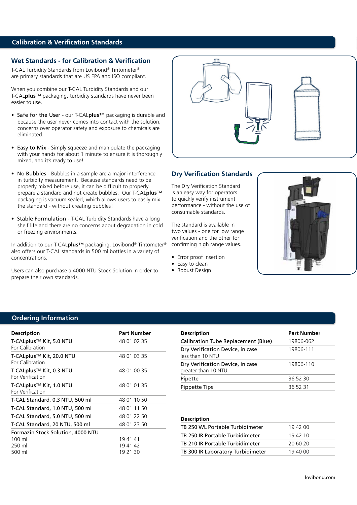#### **Calibration & Verification Standards**

#### **Wet Standards - for Calibration & Verification**

T-CAL Turbidity Standards from Lovibond® Tintometer® are primary standards that are US EPA and ISO compliant.

When you combine our T-CAL Turbidity Standards and our T-CAL**plus**™ packaging, turbidity standards have never been easier to use.

- Safe for the User our T-CAL**plus**™ packaging is durable and because the user never comes into contact with the solution, concerns over operator safety and exposure to chemicals are eliminated.
- Easy to Mix Simply squeeze and manipulate the packaging with your hands for about 1 minute to ensure it is thoroughly mixed, and it's ready to use!
- No Bubbles Bubbles in a sample are a major interference in turbidity measurement. Because standards need to be properly mixed before use, it can be difficult to properly prepare a standard and not create bubbles. Our T-CAL**plus**™ packaging is vacuum sealed, which allows users to easily mix the standard - without creating bubbles!
- Stable Formulation T-CAL Turbidity Standards have a long shelf life and there are no concerns about degradation in cold or freezing environments.

In addition to our T-CAL**plus**™ packaging, Lovibond® Tintometer® also offers our T-CAL standards in 500 ml bottles in a variety of concentrations.

Users can also purchase a 4000 NTU Stock Solution in order to prepare their own standards.



#### **Dry Verification Standards**

The Dry Verification Standard is an easy way for operators to quickly verify instrument performance - without the use of consumable standards.

The standard is available in two values - one for low range verification and the other for confirming high range values.

- Error proof insertion
- Easy to clean
- Robust Design



#### **Ordering Information**

| <b>Description</b>                                      | <b>Part Number</b> |
|---------------------------------------------------------|--------------------|
| T-CALplus™ Kit, 5.0 NTU<br>For Calibration              | 48 01 02 35        |
| T-CALplus™ Kit, 20.0 NTU<br>For Calibration             | 48 01 03 35        |
| T-CALplus <sup>™</sup> Kit, 0.3 NTU<br>For Verification | 48 01 00 35        |
| T-CALplus <sup>™</sup> Kit, 1.0 NTU<br>For Verification | 48 01 01 35        |
| T-CAL Standard, 0.3 NTU, 500 ml                         | 48 01 10 50        |
| T-CAL Standard, 1.0 NTU, 500 ml                         | 48 01 11 50        |
| T-CAL Standard, 5.0 NTU, 500 ml                         | 48 01 22 50        |
| T-CAL Standard, 20 NTU, 500 ml                          | 48 01 23 50        |
| Formazin Stock Solution, 4000 NTU                       |                    |
| $100 \mathrm{m}$                                        | 194141             |
| 250 ml                                                  | 19 41 42           |
| 500 ml                                                  | 19 21 30           |

| <b>Description</b>                                      | <b>Part Number</b> |
|---------------------------------------------------------|--------------------|
| <b>Calibration Tube Replacement (Blue)</b>              | 19806-062          |
| Dry Verification Device, in case<br>less than 10 NTU    | 19806-111          |
| Dry Verification Device, in case<br>greater than 10 NTU | 19806-110          |
| Pipette                                                 | 36 52 30           |
| <b>Pippette Tips</b>                                    | 36 52 31           |

#### **Description**

| TB 250 WL Portable Turbidimeter   | 19 42 00 |
|-----------------------------------|----------|
| TB 250 IR Portable Turbidimeter   | 19 42 10 |
| TB 210 IR Portable Turbidimeter   | 20.60.20 |
| TB 300 IR Laboratory Turbidimeter | 19 40 00 |
|                                   |          |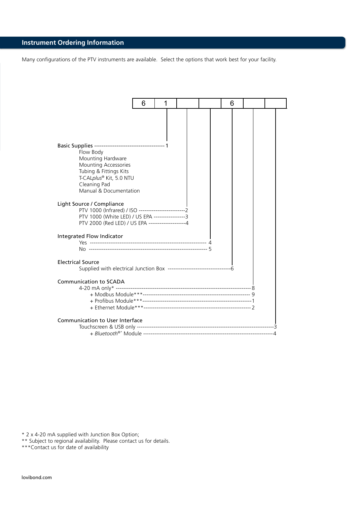### **Instrument Ordering Information**

Many configurations of the PTV instruments are available. Select the options that work best for your facility.

|                                                                                                                             | 6 | 1 |  | 6 |  |
|-----------------------------------------------------------------------------------------------------------------------------|---|---|--|---|--|
| Flow Body<br>Mounting Hardware<br>Mounting Accessories<br>Tubing & Fittings Kits<br>T-CALplus® Kit, 5.0 NTU<br>Cleaning Pad |   |   |  |   |  |
| Manual & Documentation<br>Light Source / Compliance<br>PTV 1000 (White LED) / US EPA -----------------3                     |   |   |  |   |  |
| PTV 2000 (Red LED) / US EPA --------------------4<br>Integrated Flow Indicator                                              |   |   |  |   |  |
| <b>Electrical Source</b>                                                                                                    |   |   |  |   |  |
| <b>Communication to SCADA</b>                                                                                               |   |   |  |   |  |
| Communication to User Interface                                                                                             |   |   |  |   |  |

\* 2 x 4-20 mA supplied with Junction Box Option;

\*\* Subject to regional availability. Please contact us for details.

\*\*\*Contact us for date of availability